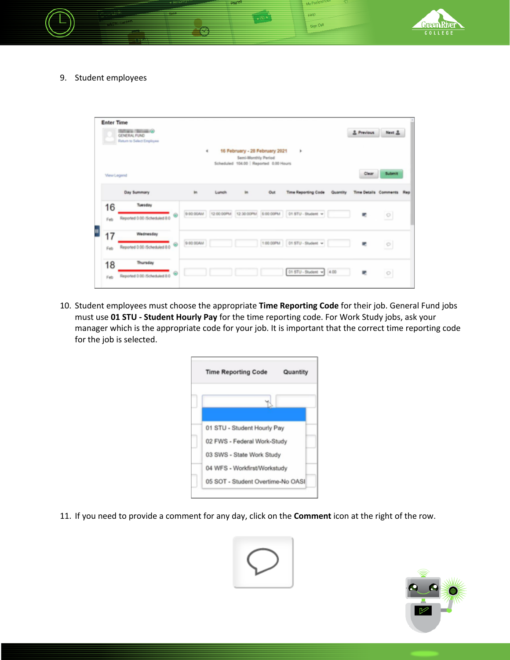

9.<sup>®</sup> Student employees must post actual hours worked each day by entering time In, Lunch Break, and time Out. Unpaid lunch break must be taken if your schedule is more than 5 hours. Waiving a lunch break must be preapproved by your supervisor, per the Department of Labor and Industries (see L&I website)

|   | <b>Enter Time</b> |                                                                |                |           |            |                                                                                               |           |                                         |          |                       |               |     |
|---|-------------------|----------------------------------------------------------------|----------------|-----------|------------|-----------------------------------------------------------------------------------------------|-----------|-----------------------------------------|----------|-----------------------|---------------|-----|
|   |                   | <b>Max Telepo</b><br>GENERAL FUND<br>Return to Select Employee |                |           |            |                                                                                               |           |                                         |          | & Previous            | Next 2        |     |
|   | <b>Wew Legend</b> |                                                                |                | ٠         |            | 16 February - 28 February 2021<br>Semi-Monthly Period<br>Scheduled 104.00 Reported 0.00 Hours |           | r                                       |          | Clear                 | <b>Submit</b> |     |
|   |                   | Day Summary                                                    |                | m         | Lunch      | m                                                                                             | Out       | <b>Time Reporting Code</b>              | Quantity | Time Details Commercs |               | Rep |
|   | 16<br>Feb         | Tuesday<br>Reported 0.00 /Scheduled 8.0                        |                | 9:00:00AM | 12:00:00PM |                                                                                               |           | 12:30:00PM 6:00:00PM 01 STU - Student w |          | ٠                     | $\circ$       |     |
| 0 | 17<br>Feb         | Wednesday<br>Reported 0.00 /Scheduled 8.0                      | 0              | 9 00:00AM |            |                                                                                               | 1.00.00PM | 01 STU - Student v                      |          | ٠                     | $\circ$       |     |
|   | 18<br>Feb         | Thursday<br>Reported 0.00 /Scheduled 8.0                       | $\circledcirc$ |           |            |                                                                                               |           | $01$ STU - Student $\vee$ 4.00          |          | æ                     | $\circ$       |     |

10. Student employees must choose the appropriate **Time Reporting Code** for their job. General Fund jobs must use **01 STU - Student Hourly Pay** for the time reporting code. For Work Study jobs, ask your manager which is the appropriate code for your job. It is important that the correct time reporting code for the job is selected.

| <b>Time Reporting Code</b><br>Quantity |                                   |  |  |  |  |  |  |  |
|----------------------------------------|-----------------------------------|--|--|--|--|--|--|--|
|                                        |                                   |  |  |  |  |  |  |  |
|                                        | 01 STU - Student Hourly Pay       |  |  |  |  |  |  |  |
|                                        | 02 FWS - Federal Work-Study       |  |  |  |  |  |  |  |
|                                        | 03 SWS - State Work Study         |  |  |  |  |  |  |  |
|                                        | 04 WFS - Workfirst/Workstudy      |  |  |  |  |  |  |  |
|                                        | 05 SOT - Student Overtime-No OASI |  |  |  |  |  |  |  |

11. If you need to provide a comment for any day, click on the **Comment** icon at the right of the row.